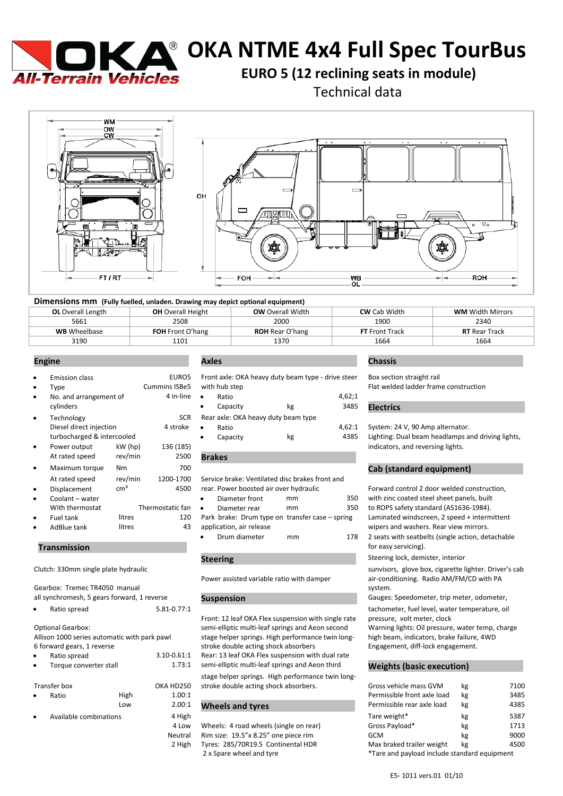

# **Z**  $\triangle$  OKA NTME 4x4 Full Spec TourBus

**EURO 5 (12 reclining seats in module)** 

Technical data



### **Dimensions mm (Fully fuelled, unladen. Drawing may depict optional equipment)**

| <b>OL</b> Overall Length | <b>OH</b> Overall Height | <b>OW</b> Overall Width | <b>CW</b> Cab Width   | <b>WM</b> Width Mirrors |
|--------------------------|--------------------------|-------------------------|-----------------------|-------------------------|
| 5661                     | 2508                     | 2000                    | 1900                  | 2340                    |
| <b>WB</b> Wheelbase      | <b>FOH</b> Front O'hang  | <b>ROH</b> Rear O'hang  | <b>FT</b> Front Track | <b>RT</b> Rear Track    |
| 3190                     | 1101                     | 1370                    | 1664                  | 1664                    |

|           | <b>Emission class</b>      |                 | EURO5                | Front axle: OKA heavy duty beam type - drive stee |    |       |
|-----------|----------------------------|-----------------|----------------------|---------------------------------------------------|----|-------|
| ٠         | Type                       |                 | <b>Cummins ISBe5</b> | with hub step                                     |    |       |
| $\bullet$ | No. and arrangement of     |                 | 4 in-line            | Ratio<br>٠                                        |    | 4,62; |
|           | cylinders                  |                 |                      | Capacity<br>$\bullet$                             | kg | 348   |
| $\bullet$ | Technology                 |                 | <b>SCR</b>           | Rear axle: OKA heavy duty beam type               |    |       |
|           | Diesel direct injection    |                 | 4 stroke             | Ratio<br>$\bullet$                                |    | 4,62: |
|           | turbocharged & intercooled |                 |                      | Capacity<br>٠                                     | kg | 438   |
| $\bullet$ | Power output               | $kW$ (hp)       | 136 (185)            |                                                   |    |       |
|           | At rated speed             | rev/min         | 2500                 | <b>Brakes</b>                                     |    |       |
| $\bullet$ | Maximum torque             | N <sub>m</sub>  | 700                  |                                                   |    |       |
|           | At rated speed             | rev/min         | 1200-1700            | Service brake: Ventilated disc brakes front and   |    |       |
| $\bullet$ | Displacement               | cm <sup>3</sup> | 4500                 | rear. Power boosted air over hydraulic            |    |       |
| $\bullet$ | Coolant - water            |                 |                      | Diameter front<br>$\bullet$                       | mm | 350   |
|           | With thermostat            |                 | Thermostatic fan     | Diameter rear<br>$\bullet$                        | mm | 350   |
| $\bullet$ | Fuel tank                  | litres          | 120                  | Park brake: Drum type on transfer case - spring   |    |       |
|           | AdBlue tank                | litres          | 43                   | application, air release                          |    |       |

# **Transmission** .

| Gearbox: Tremec TR4050 manual |                                             |
|-------------------------------|---------------------------------------------|
|                               | all synchromesh, 5 gears forward, 1 reverse |

| $\bullet$ | Ratio spread      | 5.81-0.77:1 |
|-----------|-------------------|-------------|
|           | Optional Gearbox: |             |

Allison 1000 series automatic with park pawl 6 forward gears, 1 reverse

| Ratio spread           | $3.10 - 0.61$ |
|------------------------|---------------|
| Torque converter stall | 1.73:         |

|           | Transfer box           |      | OKA HD                |
|-----------|------------------------|------|-----------------------|
| $\bullet$ | Ratio                  | High | 1.                    |
|           |                        | Low  | $\mathcal{P}_{\cdot}$ |
| $\bullet$ | Available combinations |      |                       |

|                     | EURO5 Front axle: OKA heavy duty beam type - drive steer |    |        | Box section straight rail             |
|---------------------|----------------------------------------------------------|----|--------|---------------------------------------|
| ns ISBe5            | with hub step                                            |    |        | Flat welded ladder frame construction |
| 4 in-line $\bullet$ | Ratio                                                    |    | 4.62:1 |                                       |
|                     | Capacity                                                 | kg | 3485   | <b>Electrics</b>                      |
| <b>SCR</b>          | Rear axle: OKA heavy duty beam type                      |    |        |                                       |

| $\bullet$ | Ratio    |    | 4,62 |
|-----------|----------|----|------|
| $\bullet$ | Capacity | kg | 43   |

Service brake: Ventilated disc brakes front and rear. Power boosted air over hydraulic Forward control 2 door welded construction,

|               |                          | Park brake: Drum type on transfer case – spring |     |
|---------------|--------------------------|-------------------------------------------------|-----|
|               | application, air release |                                                 |     |
| Drum diameter |                          | mm                                              | 178 |

# **Steering .**

Front: 12 leaf OKA Flex suspension with single rate pressure, volt meter, clock semi-elliptic multi-leaf springs and Aeon second Warning lights: Oil pressure, water temp, charge stage helper springs. High performance twin long- high beam, indicators, brake failure, 4WD stroke double acting shock absorbers 1 Rear: 13 leaf OKA Flex suspension with dual rate formulti-leaf springs and Aeon third **Weights (basic execution) Weights (basic execution)** stage helper springs. High performance twin long-D250 stroke double acting shock absorbers.

# 00:1 **Wheels and tyres**

4 Low Wheels: 4 road wheels (single on rear) Neutral Rim size: 19.5"x 8.25" one piece rim 2 High Tyres: 285/70R19.5 Continental HDR 2 x Spare wheel and tyre the standard equipment  $*$ Tare and payload include standard equipment

# **Engine . Axles . Chassis .**

Box section straight rail

2:1 System: 24 V, 90 Amp alternator. 885 Lighting: Dual beam headlamps and driving lights, indicators, and reversing lights.

# **Cab (standard equipment)**

Diameter front mm 350 with zinc coated steel sheet panels, built Diameter rear mm 350 to ROPS safety standard (AS1636-1984). Laminated windscreen, 2 speed + intermittent wipers and washers. Rear view mirrors. 2 seats with seatbelts (single action, detachable for easy servicing).

Steering lock, demister, interior

Clutch: 330mm single plate hydraulic sunvisors, glove box, cigarette lighter. Driver's cab Power assisted variable ratio with damper air-conditioning. Radio AM/FM/CD with PA system.

**Suspension** . Gauges: Speedometer, trip meter, odometer,

tachometer, fuel level, water temperature, oil

| Transfer box                |      | OKA HD250 | stroke double acting shock absorbers.  | Gross vehicle mass GVM                       | kg | 7100 |
|-----------------------------|------|-----------|----------------------------------------|----------------------------------------------|----|------|
| Ratio<br>۰                  | High | 1.00:1    |                                        | Permissible front axle load                  | kg | 3485 |
|                             | Low  | 2.00:1    | <b>Wheels and tyres</b>                | Permissible rear axle load                   | kg | 4385 |
| Available combinations<br>۰ |      | 4 High    |                                        | Tare weight*                                 | kg | 5387 |
|                             |      | 4 Low     | Wheels: 4 road wheels (single on rear) | Gross Payload*                               | kg | 1713 |
|                             |      | Neutral   | Rim size: 19.5"x 8.25" one piece rim   | <b>GCM</b>                                   | kg | 9000 |
|                             |      | 2 High    | Tyres: 285/70R19.5 Continental HDR     | Max braked trailer weight                    | kg | 4500 |
|                             |      |           | 2 y Charo whool and two                | *Taro and payload include standard equipment |    |      |